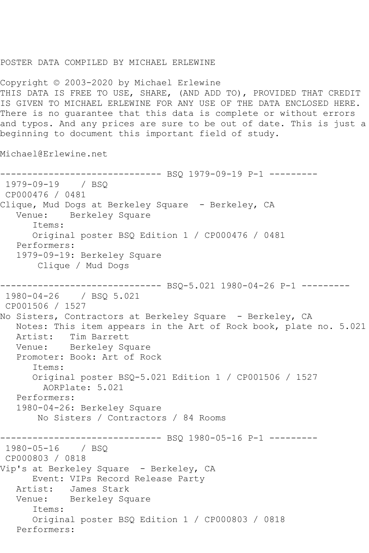## POSTER DATA COMPILED BY MICHAEL ERLEWINE

Copyright © 2003-2020 by Michael Erlewine THIS DATA IS FREE TO USE, SHARE, (AND ADD TO), PROVIDED THAT CREDIT IS GIVEN TO MICHAEL ERLEWINE FOR ANY USE OF THE DATA ENCLOSED HERE. There is no guarantee that this data is complete or without errors and typos. And any prices are sure to be out of date. This is just a beginning to document this important field of study.

Michael@Erlewine.net

```
------------------------------ BSQ 1979-09-19 P-1 ---------
1979-09-19 / BSQ 
CP000476 / 0481
Clique, Mud Dogs at Berkeley Square - Berkeley, CA
   Venue: Berkeley Square
       Items:
       Original poster BSQ Edition 1 / CP000476 / 0481
   Performers:
    1979-09-19: Berkeley Square
        Clique / Mud Dogs
------------------------------ BSQ-5.021 1980-04-26 P-1 ---------
1980-04-26 / BSQ 5.021
CP001506 / 1527
No Sisters, Contractors at Berkeley Square - Berkeley, CA
   Notes: This item appears in the Art of Rock book, plate no. 5.021
   Artist: Tim Barrett
   Venue: Berkeley Square
    Promoter: Book: Art of Rock
       Items:
       Original poster BSQ-5.021 Edition 1 / CP001506 / 1527
         AORPlate: 5.021 
   Performers:
   1980-04-26: Berkeley Square
        No Sisters / Contractors / 84 Rooms
                   ------------------------------ BSQ 1980-05-16 P-1 ---------
1980-05-16 / BSQ 
CP000803 / 0818
Vip's at Berkeley Square - Berkeley, CA
  Event: VIPs Record Release Party<br>Artist: James Stark
            James Stark
   Venue: Berkeley Square
       Items:
       Original poster BSQ Edition 1 / CP000803 / 0818
   Performers:
```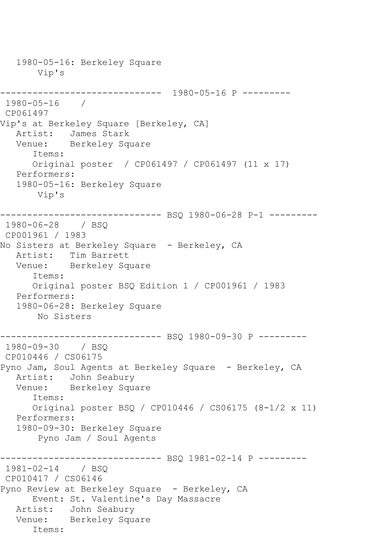1980-05-16: Berkeley Square Vip's ------------------------------ 1980-05-16 P --------- 1980-05-16 / CP061497 Vip's at Berkeley Square [Berkeley, CA] Artist: James Stark Venue: Berkeley Square Items: Original poster / CP061497 / CP061497 (11 x 17) Performers: 1980-05-16: Berkeley Square Vip's ------------------------------ BSQ 1980-06-28 P-1 --------- 1980-06-28 / BSQ CP001961 / 1983 No Sisters at Berkeley Square - Berkeley, CA Artist: Tim Barrett Venue: Berkeley Square Items: Original poster BSQ Edition 1 / CP001961 / 1983 Performers: 1980-06-28: Berkeley Square No Sisters ------------------------------ BSQ 1980-09-30 P --------- 1980-09-30 / BSQ CP010446 / CS06175 Pyno Jam, Soul Agents at Berkeley Square - Berkeley, CA Artist: John Seabury Venue: Berkeley Square Items: Original poster BSQ / CP010446 / CS06175 (8-1/2 x 11) Performers: 1980-09-30: Berkeley Square Pyno Jam / Soul Agents ------------------------------ BSQ 1981-02-14 P --------- 1981-02-14 / BSQ CP010417 / CS06146 Pyno Review at Berkeley Square - Berkeley, CA Event: St. Valentine's Day Massacre Artist: John Seabury Venue: Berkeley Square Items: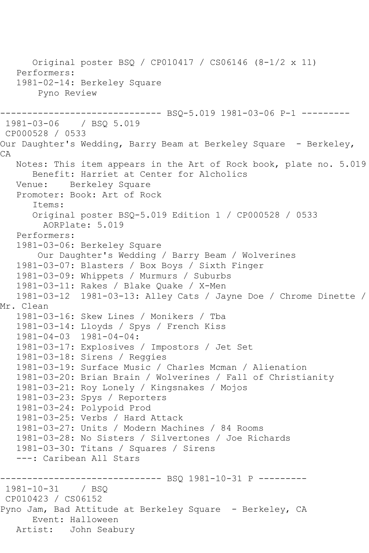```
 Original poster BSQ / CP010417 / CS06146 (8-1/2 x 11)
   Performers:
   1981-02-14: Berkeley Square
        Pyno Review
                        ------- BSO-5.019 1981-03-06 P-1 ---------
1981-03-06 / BSQ 5.019
CP000528 / 0533
Our Daughter's Wedding, Barry Beam at Berkeley Square - Berkeley,
CA
   Notes: This item appears in the Art of Rock book, plate no. 5.019
       Benefit: Harriet at Center for Alcholics
   Venue: Berkeley Square
   Promoter: Book: Art of Rock
       Items:
       Original poster BSQ-5.019 Edition 1 / CP000528 / 0533
         AORPlate: 5.019 
   Performers:
   1981-03-06: Berkeley Square
        Our Daughter's Wedding / Barry Beam / Wolverines
   1981-03-07: Blasters / Box Boys / Sixth Finger
   1981-03-09: Whippets / Murmurs / Suburbs
   1981-03-11: Rakes / Blake Quake / X-Men
   1981-03-12 1981-03-13: Alley Cats / Jayne Doe / Chrome Dinette / 
Mr. Clean
   1981-03-16: Skew Lines / Monikers / Tba
   1981-03-14: Lloyds / Spys / French Kiss
   1981-04-03 1981-04-04:
   1981-03-17: Explosives / Impostors / Jet Set
   1981-03-18: Sirens / Reggies
   1981-03-19: Surface Music / Charles Mcman / Alienation
   1981-03-20: Brian Brain / Wolverines / Fall of Christianity
   1981-03-21: Roy Lonely / Kingsnakes / Mojos
   1981-03-23: Spys / Reporters
   1981-03-24: Polypoid Prod
   1981-03-25: Verbs / Hard Attack
   1981-03-27: Units / Modern Machines / 84 Rooms
   1981-03-28: No Sisters / Silvertones / Joe Richards
   1981-03-30: Titans / Squares / Sirens
   ---: Caribean All Stars
                 -------------- BSQ 1981-10-31 P ---------
1981-10-31 / BSQ 
CP010423 / CS06152
Pyno Jam, Bad Attitude at Berkeley Square - Berkeley, CA
       Event: Halloween
   Artist: John Seabury
```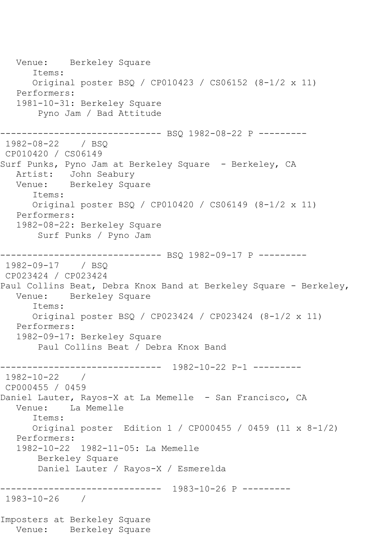Venue: Berkeley Square Items: Original poster BSQ / CP010423 / CS06152 (8-1/2 x 11) Performers: 1981-10-31: Berkeley Square Pyno Jam / Bad Attitude ------------------------------ BSQ 1982-08-22 P --------- 1982-08-22 / BSQ CP010420 / CS06149 Surf Punks, Pyno Jam at Berkeley Square - Berkeley, CA Artist: John Seabury Venue: Berkeley Square Items: Original poster BSQ / CP010420 / CS06149 (8-1/2 x 11) Performers: 1982-08-22: Berkeley Square Surf Punks / Pyno Jam ------------------------------ BSQ 1982-09-17 P --------- 1982-09-17 / BSQ CP023424 / CP023424 Paul Collins Beat, Debra Knox Band at Berkeley Square - Berkeley,<br>Venue: Berkeley Square Berkeley Square Items: Original poster BSQ / CP023424 / CP023424 (8-1/2 x 11) Performers: 1982-09-17: Berkeley Square Paul Collins Beat / Debra Knox Band ------------------------------ 1982-10-22 P-1 --------- 1982-10-22 / CP000455 / 0459 Daniel Lauter, Rayos-X at La Memelle - San Francisco, CA Venue: La Memelle Items: Original poster Edition 1 / CP000455 / 0459 (11 x 8-1/2) Performers: 1982-10-22 1982-11-05: La Memelle Berkeley Square Daniel Lauter / Rayos-X / Esmerelda ------------------------------ 1983-10-26 P --------- 1983-10-26 / Imposters at Berkeley Square Venue: Berkeley Square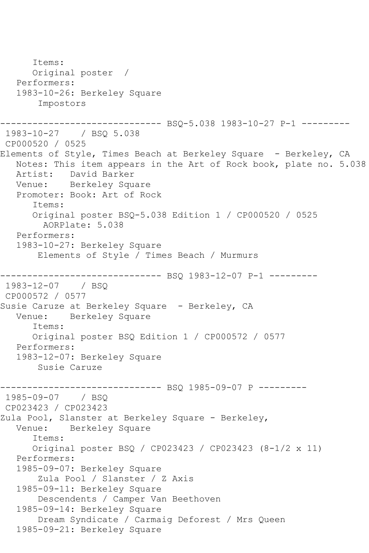Items: Original poster / Performers: 1983-10-26: Berkeley Square Impostors ------------------------------ BSQ-5.038 1983-10-27 P-1 --------- 1983-10-27 / BSQ 5.038 CP000520 / 0525 Elements of Style, Times Beach at Berkeley Square - Berkeley, CA Notes: This item appears in the Art of Rock book, plate no. 5.038 Artist: David Barker Venue: Berkeley Square Promoter: Book: Art of Rock Items: Original poster BSQ-5.038 Edition 1 / CP000520 / 0525 AORPlate: 5.038 Performers: 1983-10-27: Berkeley Square Elements of Style / Times Beach / Murmurs ------------------------------ BSQ 1983-12-07 P-1 --------- 1983-12-07 / BSQ CP000572 / 0577 Susie Caruze at Berkeley Square - Berkeley, CA Venue: Berkeley Square Items: Original poster BSQ Edition 1 / CP000572 / 0577 Performers: 1983-12-07: Berkeley Square Susie Caruze ------------------------------ BSQ 1985-09-07 P ---------  $1985 - 09 - 07$ CP023423 / CP023423 Zula Pool, Slanster at Berkeley Square - Berkeley, Berkeley Square Items: Original poster BSQ / CP023423 / CP023423 (8-1/2 x 11) Performers: 1985-09-07: Berkeley Square Zula Pool / Slanster / Z Axis 1985-09-11: Berkeley Square Descendents / Camper Van Beethoven 1985-09-14: Berkeley Square Dream Syndicate / Carmaig Deforest / Mrs Queen 1985-09-21: Berkeley Square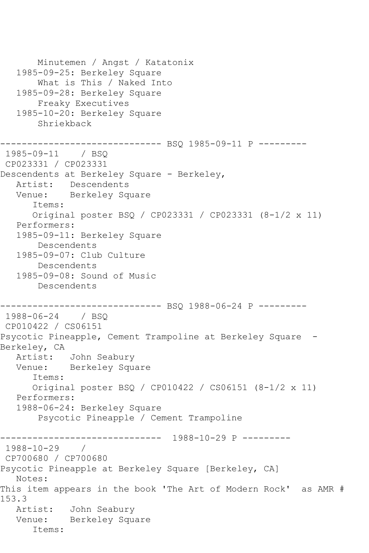```
 Minutemen / Angst / Katatonix
   1985-09-25: Berkeley Square
        What is This / Naked Into
    1985-09-28: Berkeley Square
        Freaky Executives
    1985-10-20: Berkeley Square
        Shriekback
                   ------------ BSQ 1985-09-11 P ----------
1985-09-11 / BSQ 
CP023331 / CP023331
Descendents at Berkeley Square - Berkeley,
   Artist: Descendents
   Venue: Berkeley Square
       Items:
       Original poster BSQ / CP023331 / CP023331 (8-1/2 x 11)
   Performers:
    1985-09-11: Berkeley Square
        Descendents
    1985-09-07: Club Culture
        Descendents
    1985-09-08: Sound of Music
        Descendents
         ---------------------- BSQ 1988-06-24 P ---------
1988-06-24 / BSQ 
CP010422 / CS06151
Psycotic Pineapple, Cement Trampoline at Berkeley Square -
Berkeley, CA
   Artist: John Seabury
   Venue: Berkeley Square
       Items:
       Original poster BSQ / CP010422 / CS06151 (8-1/2 x 11)
    Performers:
    1988-06-24: Berkeley Square
        Psycotic Pineapple / Cement Trampoline
                 ------------------------------ 1988-10-29 P ---------
1988-10-29 / 
CP700680 / CP700680
Psycotic Pineapple at Berkeley Square [Berkeley, CA]
   Notes: 
This item appears in the book 'The Art of Modern Rock' as AMR # 
153.3<br>Artist:
            John Seabury
   Venue: Berkeley Square
       Items:
```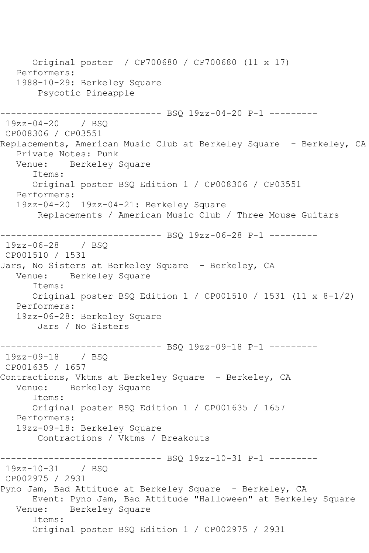Original poster / CP700680 / CP700680 (11 x 17) Performers: 1988-10-29: Berkeley Square Psycotic Pineapple ------------------------------ BSQ 19zz-04-20 P-1 --------- 19zz-04-20 / BSQ CP008306 / CP03551 Replacements, American Music Club at Berkeley Square - Berkeley, CA Private Notes: Punk Venue: Berkeley Square Items: Original poster BSQ Edition 1 / CP008306 / CP03551 Performers: 19zz-04-20 19zz-04-21: Berkeley Square Replacements / American Music Club / Three Mouse Guitars ------------------------------ BSQ 19zz-06-28 P-1 --------- 19zz-06-28 / BSQ CP001510 / 1531 Jars, No Sisters at Berkeley Square - Berkeley, CA Venue: Berkeley Square Items: Original poster BSQ Edition 1 / CP001510 / 1531 (11 x 8-1/2) Performers: 19zz-06-28: Berkeley Square Jars / No Sisters ------------------------------ BSQ 19zz-09-18 P-1 --------- 19zz-09-18 / BSQ CP001635 / 1657 Contractions, Vktms at Berkeley Square - Berkeley, CA Venue: Berkeley Square Items: Original poster BSQ Edition 1 / CP001635 / 1657 Performers: 19zz-09-18: Berkeley Square Contractions / Vktms / Breakouts ------------------------------ BSQ 19zz-10-31 P-1 --------- 19zz-10-31 / BSQ CP002975 / 2931 Pyno Jam, Bad Attitude at Berkeley Square - Berkeley, CA Event: Pyno Jam, Bad Attitude "Halloween" at Berkeley Square Venue: Berkeley Square Items: Original poster BSQ Edition 1 / CP002975 / 2931